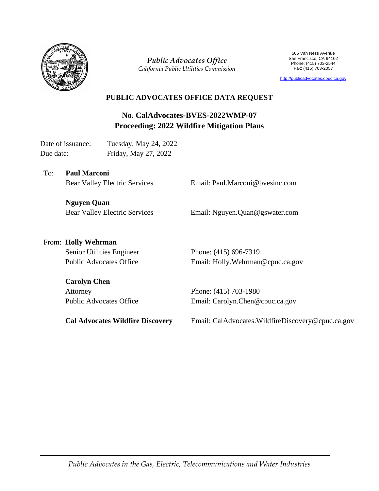

*Public Advocates Office California Public Utilities Commission*

505 Van Ness Avenue San Francisco, CA 94102 Phone: (415) 703-2544 Fax: (415) 703-2057

[http://publicadvocates.cpuc.ca.gov](http://publicadvocates.cpuc.ca.gov/)

### **PUBLIC ADVOCATES OFFICE DATA REQUEST**

**No. CalAdvocates-BVES-2022WMP-07 Proceeding: 2022 Wildfire Mitigation Plans**

Date of issuance: Tuesday, May 24, 2022 Due date: Friday, May 27, 2022

To: **Paul Marconi**  Bear Valley Electric Services

Email: Paul.Marconi@bvesinc.com

**Nguyen Quan** Bear Valley Electric Services

Email: Nguyen.Quan@gswater.com

# From: **Holly Wehrman**

Senior Utilities Engineer Public Advocates Office

**Carolyn Chen**

Attorney Public Advocates Office Phone: (415) 696-7319 Email: Holly.Wehrman@cpuc.ca.gov

Phone: (415) 703-1980 Email: Carolyn.Chen@cpuc.ca.gov

**Cal Advocates Wildfire Discovery** 

Email: CalAdvocates.WildfireDiscovery@cpuc.ca.gov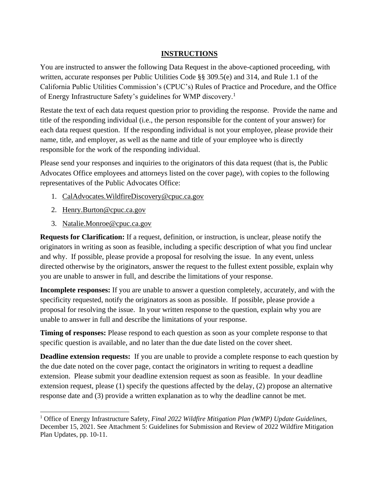#### **INSTRUCTIONS**

You are instructed to answer the following Data Request in the above-captioned proceeding, with written, accurate responses per Public Utilities Code §§ 309.5(e) and 314, and Rule 1.1 of the California Public Utilities Commission's (CPUC's) Rules of Practice and Procedure, and the Office of Energy Infrastructure Safety's guidelines for WMP discovery.<sup>1</sup>

Restate the text of each data request question prior to providing the response. Provide the name and title of the responding individual (i.e., the person responsible for the content of your answer) for each data request question. If the responding individual is not your employee, please provide their name, title, and employer, as well as the name and title of your employee who is directly responsible for the work of the responding individual.

Please send your responses and inquiries to the originators of this data request (that is, the Public Advocates Office employees and attorneys listed on the cover page), with copies to the following representatives of the Public Advocates Office:

- 1. [CalAdvocates.WildfireDiscovery@cpuc.ca.gov](mailto:CalAdvocates.WildfireDiscovery@cpuc.ca.gov)
- 2. [Henry.Burton@cpuc.ca.gov](mailto:Henry.Burton@cpuc.ca.gov)
- 3. [Natalie.Monroe@cpuc.ca.gov](mailto:Natalie.Monroe@cpuc.ca.gov)

**Requests for Clarification:** If a request, definition, or instruction, is unclear, please notify the originators in writing as soon as feasible, including a specific description of what you find unclear and why. If possible, please provide a proposal for resolving the issue. In any event, unless directed otherwise by the originators, answer the request to the fullest extent possible, explain why you are unable to answer in full, and describe the limitations of your response.

**Incomplete responses:** If you are unable to answer a question completely, accurately, and with the specificity requested, notify the originators as soon as possible. If possible, please provide a proposal for resolving the issue. In your written response to the question, explain why you are unable to answer in full and describe the limitations of your response.

**Timing of responses:** Please respond to each question as soon as your complete response to that specific question is available, and no later than the due date listed on the cover sheet.

**Deadline extension requests:** If you are unable to provide a complete response to each question by the due date noted on the cover page, contact the originators in writing to request a deadline extension. Please submit your deadline extension request as soon as feasible. In your deadline extension request, please (1) specify the questions affected by the delay, (2) propose an alternative response date and (3) provide a written explanation as to why the deadline cannot be met.

<sup>1</sup> Office of Energy Infrastructure Safety, *Final 2022 Wildfire Mitigation Plan (WMP) Update Guidelines*, December 15, 2021. See Attachment 5: Guidelines for Submission and Review of 2022 Wildfire Mitigation Plan Updates, pp. 10-11.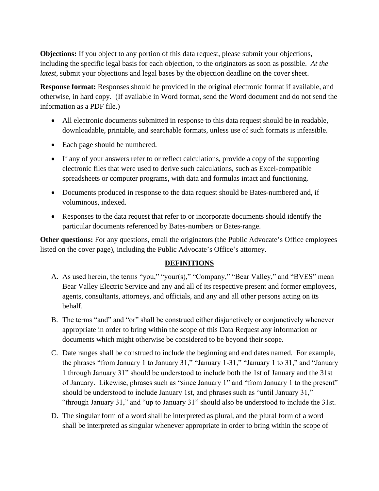**Objections:** If you object to any portion of this data request, please submit your objections, including the specific legal basis for each objection, to the originators as soon as possible. *At the latest*, submit your objections and legal bases by the objection deadline on the cover sheet.

**Response format:** Responses should be provided in the original electronic format if available, and otherwise, in hard copy. (If available in Word format, send the Word document and do not send the information as a PDF file.)

- All electronic documents submitted in response to this data request should be in readable, downloadable, printable, and searchable formats, unless use of such formats is infeasible.
- Each page should be numbered.
- If any of your answers refer to or reflect calculations, provide a copy of the supporting electronic files that were used to derive such calculations, such as Excel-compatible spreadsheets or computer programs, with data and formulas intact and functioning.
- Documents produced in response to the data request should be Bates-numbered and, if voluminous, indexed.
- Responses to the data request that refer to or incorporate documents should identify the particular documents referenced by Bates-numbers or Bates-range.

**Other questions:** For any questions, email the originators (the Public Advocate's Office employees listed on the cover page), including the Public Advocate's Office's attorney.

## **DEFINITIONS**

- A. As used herein, the terms "you," "your(s)," "Company," "Bear Valley," and "BVES" mean Bear Valley Electric Service and any and all of its respective present and former employees, agents, consultants, attorneys, and officials, and any and all other persons acting on its behalf.
- B. The terms "and" and "or" shall be construed either disjunctively or conjunctively whenever appropriate in order to bring within the scope of this Data Request any information or documents which might otherwise be considered to be beyond their scope.
- C. Date ranges shall be construed to include the beginning and end dates named. For example, the phrases "from January 1 to January 31," "January 1-31," "January 1 to 31," and "January 1 through January 31" should be understood to include both the 1st of January and the 31st of January. Likewise, phrases such as "since January 1" and "from January 1 to the present" should be understood to include January 1st, and phrases such as "until January 31," "through January 31," and "up to January 31" should also be understood to include the 31st.
- D. The singular form of a word shall be interpreted as plural, and the plural form of a word shall be interpreted as singular whenever appropriate in order to bring within the scope of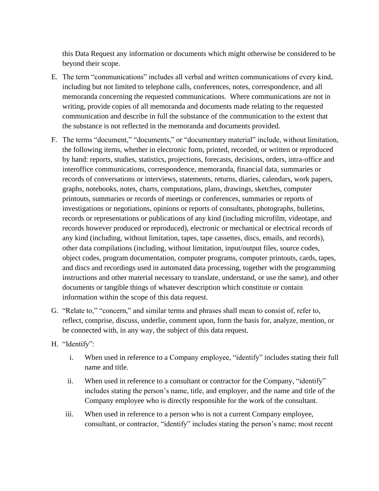this Data Request any information or documents which might otherwise be considered to be beyond their scope.

- E. The term "communications" includes all verbal and written communications of every kind, including but not limited to telephone calls, conferences, notes, correspondence, and all memoranda concerning the requested communications. Where communications are not in writing, provide copies of all memoranda and documents made relating to the requested communication and describe in full the substance of the communication to the extent that the substance is not reflected in the memoranda and documents provided.
- F. The terms "document," "documents," or "documentary material" include, without limitation, the following items, whether in electronic form, printed, recorded, or written or reproduced by hand: reports, studies, statistics, projections, forecasts, decisions, orders, intra-office and interoffice communications, correspondence, memoranda, financial data, summaries or records of conversations or interviews, statements, returns, diaries, calendars, work papers, graphs, notebooks, notes, charts, computations, plans, drawings, sketches, computer printouts, summaries or records of meetings or conferences, summaries or reports of investigations or negotiations, opinions or reports of consultants, photographs, bulletins, records or representations or publications of any kind (including microfilm, videotape, and records however produced or reproduced), electronic or mechanical or electrical records of any kind (including, without limitation, tapes, tape cassettes, discs, emails, and records), other data compilations (including, without limitation, input/output files, source codes, object codes, program documentation, computer programs, computer printouts, cards, tapes, and discs and recordings used in automated data processing, together with the programming instructions and other material necessary to translate, understand, or use the same), and other documents or tangible things of whatever description which constitute or contain information within the scope of this data request.
- G. "Relate to," "concern," and similar terms and phrases shall mean to consist of, refer to, reflect, comprise, discuss, underlie, comment upon, form the basis for, analyze, mention, or be connected with, in any way, the subject of this data request.
- H. "Identify":
	- i. When used in reference to a Company employee, "identify" includes stating their full name and title.
	- ii. When used in reference to a consultant or contractor for the Company, "identify" includes stating the person's name, title, and employer, and the name and title of the Company employee who is directly responsible for the work of the consultant.
	- iii. When used in reference to a person who is not a current Company employee, consultant, or contractor, "identify" includes stating the person's name; most recent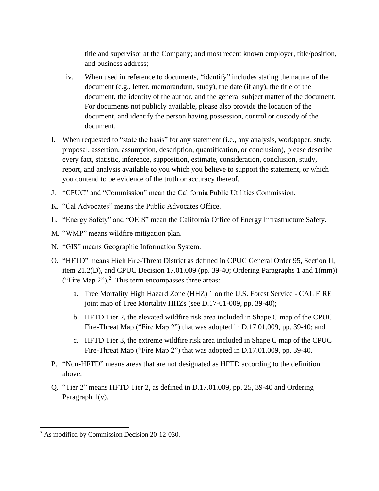title and supervisor at the Company; and most recent known employer, title/position, and business address;

- iv. When used in reference to documents, "identify" includes stating the nature of the document (e.g., letter, memorandum, study), the date (if any), the title of the document, the identity of the author, and the general subject matter of the document. For documents not publicly available, please also provide the location of the document, and identify the person having possession, control or custody of the document.
- I. When requested to "state the basis" for any statement (i.e., any analysis, workpaper, study, proposal, assertion, assumption, description, quantification, or conclusion), please describe every fact, statistic, inference, supposition, estimate, consideration, conclusion, study, report, and analysis available to you which you believe to support the statement, or which you contend to be evidence of the truth or accuracy thereof.
- J. "CPUC" and "Commission" mean the California Public Utilities Commission.
- K. "Cal Advocates" means the Public Advocates Office.
- L. "Energy Safety" and "OEIS" mean the California Office of Energy Infrastructure Safety.
- M. "WMP" means wildfire mitigation plan.
- N. "GIS" means Geographic Information System.
- O. "HFTD" means High Fire-Threat District as defined in CPUC General Order 95, Section II, item 21.2(D), and CPUC Decision 17.01.009 (pp. 39-40; Ordering Paragraphs 1 and 1(mm)) ("Fire Map  $2$ ").<sup>2</sup> This term encompasses three areas:
	- a. Tree Mortality High Hazard Zone (HHZ) 1 on the U.S. Forest Service CAL FIRE joint map of Tree Mortality HHZs (see D.17-01-009, pp. 39-40);
	- b. HFTD Tier 2, the elevated wildfire risk area included in Shape C map of the CPUC Fire-Threat Map ("Fire Map 2") that was adopted in D.17.01.009, pp. 39-40; and
	- c. HFTD Tier 3, the extreme wildfire risk area included in Shape C map of the CPUC Fire-Threat Map ("Fire Map 2") that was adopted in D.17.01.009, pp. 39-40.
- P. "Non-HFTD" means areas that are not designated as HFTD according to the definition above.
- Q. "Tier 2" means HFTD Tier 2, as defined in D.17.01.009, pp. 25, 39-40 and Ordering Paragraph 1(v).

<sup>&</sup>lt;sup>2</sup> As modified by Commission Decision 20-12-030.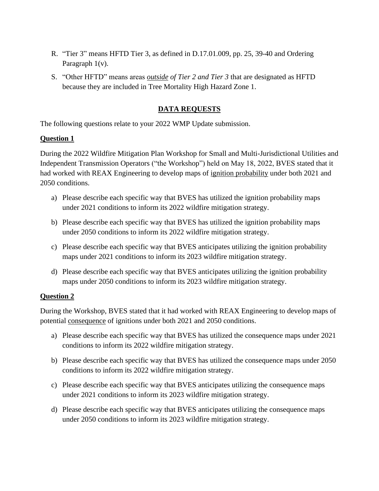- R. "Tier 3" means HFTD Tier 3, as defined in D.17.01.009, pp. 25, 39-40 and Ordering Paragraph 1(v).
- S. "Other HFTD" means areas *outside of Tier 2 and Tier 3* that are designated as HFTD because they are included in Tree Mortality High Hazard Zone 1.

#### **DATA REQUESTS**

The following questions relate to your 2022 WMP Update submission.

#### **Question 1**

During the 2022 Wildfire Mitigation Plan Workshop for Small and Multi-Jurisdictional Utilities and Independent Transmission Operators ("the Workshop") held on May 18, 2022, BVES stated that it had worked with REAX Engineering to develop maps of ignition probability under both 2021 and 2050 conditions.

- a) Please describe each specific way that BVES has utilized the ignition probability maps under 2021 conditions to inform its 2022 wildfire mitigation strategy.
- b) Please describe each specific way that BVES has utilized the ignition probability maps under 2050 conditions to inform its 2022 wildfire mitigation strategy.
- c) Please describe each specific way that BVES anticipates utilizing the ignition probability maps under 2021 conditions to inform its 2023 wildfire mitigation strategy.
- d) Please describe each specific way that BVES anticipates utilizing the ignition probability maps under 2050 conditions to inform its 2023 wildfire mitigation strategy.

#### **Question 2**

During the Workshop, BVES stated that it had worked with REAX Engineering to develop maps of potential consequence of ignitions under both 2021 and 2050 conditions.

- a) Please describe each specific way that BVES has utilized the consequence maps under 2021 conditions to inform its 2022 wildfire mitigation strategy.
- b) Please describe each specific way that BVES has utilized the consequence maps under 2050 conditions to inform its 2022 wildfire mitigation strategy.
- c) Please describe each specific way that BVES anticipates utilizing the consequence maps under 2021 conditions to inform its 2023 wildfire mitigation strategy.
- d) Please describe each specific way that BVES anticipates utilizing the consequence maps under 2050 conditions to inform its 2023 wildfire mitigation strategy.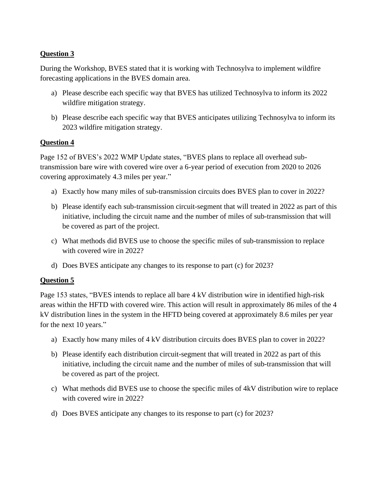#### **Question 3**

During the Workshop, BVES stated that it is working with Technosylva to implement wildfire forecasting applications in the BVES domain area.

- a) Please describe each specific way that BVES has utilized Technosylva to inform its 2022 wildfire mitigation strategy.
- b) Please describe each specific way that BVES anticipates utilizing Technosylva to inform its 2023 wildfire mitigation strategy.

#### **Question 4**

Page 152 of BVES's 2022 WMP Update states, "BVES plans to replace all overhead subtransmission bare wire with covered wire over a 6-year period of execution from 2020 to 2026 covering approximately 4.3 miles per year."

- a) Exactly how many miles of sub-transmission circuits does BVES plan to cover in 2022?
- b) Please identify each sub-transmission circuit-segment that will treated in 2022 as part of this initiative, including the circuit name and the number of miles of sub-transmission that will be covered as part of the project.
- c) What methods did BVES use to choose the specific miles of sub-transmission to replace with covered wire in 2022?
- d) Does BVES anticipate any changes to its response to part (c) for 2023?

#### **Question 5**

Page 153 states, "BVES intends to replace all bare 4 kV distribution wire in identified high-risk areas within the HFTD with covered wire. This action will result in approximately 86 miles of the 4 kV distribution lines in the system in the HFTD being covered at approximately 8.6 miles per year for the next 10 years."

- a) Exactly how many miles of 4 kV distribution circuits does BVES plan to cover in 2022?
- b) Please identify each distribution circuit-segment that will treated in 2022 as part of this initiative, including the circuit name and the number of miles of sub-transmission that will be covered as part of the project.
- c) What methods did BVES use to choose the specific miles of 4kV distribution wire to replace with covered wire in 2022?
- d) Does BVES anticipate any changes to its response to part (c) for 2023?